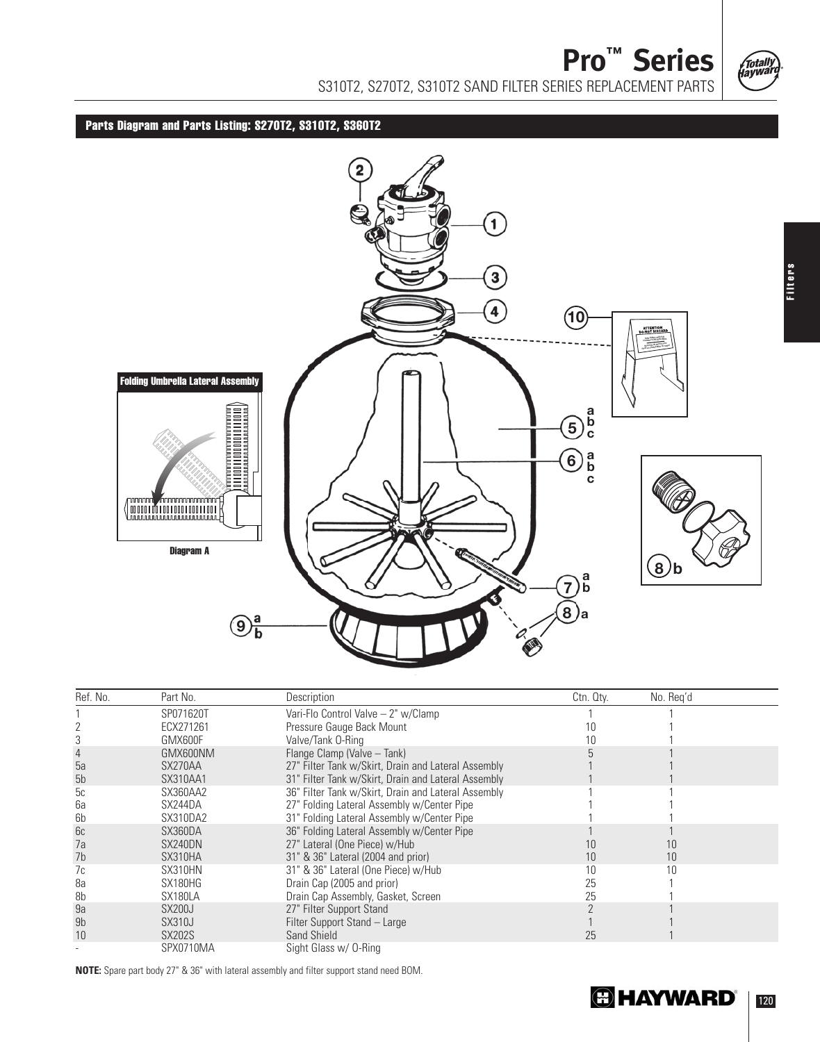

**Pro™ Series**  S310T2, S270T2, S310T2 SAND FILTER SERIES REPLACEMENT PARTS

**Parts Diagram and Parts Listing: S270T2, S310T2, S360T2**



| Ref. No.       | Part No.      | Description                                         | Ctn. Qty. | No. Reg'd |
|----------------|---------------|-----------------------------------------------------|-----------|-----------|
|                | SP071620T     | Vari-Flo Control Valve - 2" w/Clamp                 |           |           |
|                | ECX271261     | Pressure Gauge Back Mount                           | 10        |           |
|                | GMX600F       | Valve/Tank 0-Ring                                   |           |           |
|                | GMX600NM      | Flange Clamp (Valve - Tank)                         |           |           |
| 5a             | SX270AA       | 27" Filter Tank w/Skirt, Drain and Lateral Assembly |           |           |
| 5 <sub>b</sub> | SX310AA1      | 31" Filter Tank w/Skirt, Drain and Lateral Assembly |           |           |
| 5c             | SX360AA2      | 36" Filter Tank w/Skirt, Drain and Lateral Assembly |           |           |
| 6a             | SX244DA       | 27" Folding Lateral Assembly w/Center Pipe          |           |           |
| 6b             | SX310DA2      | 31" Folding Lateral Assembly w/Center Pipe          |           |           |
| 6c             | SX360DA       | 36" Folding Lateral Assembly w/Center Pipe          |           |           |
| 7a             | SX240DN       | 27" Lateral (One Piece) w/Hub                       | 10        | 10        |
| 7 <sub>b</sub> | SX310HA       | 31" & 36" Lateral (2004 and prior)                  | 10        | 10        |
| 7c             | SX310HN       | 31" & 36" Lateral (One Piece) w/Hub                 | 10        |           |
| 8a             | SX180HG       | Drain Cap (2005 and prior)                          | 25        |           |
| 8b             | SX180LA       | Drain Cap Assembly, Gasket, Screen                  | 25        |           |
| 9a             | <b>SX200J</b> | 27" Filter Support Stand                            |           |           |
| 9b             | <b>SX310J</b> | Filter Support Stand - Large                        |           |           |
| 10             | <b>SX202S</b> | Sand Shield                                         | 25        |           |
|                | SPX0710MA     | Sight Glass w/ 0-Ring                               |           |           |

**NOTE:** Spare part body 27" & 36" with lateral assembly and filter support stand need BOM.